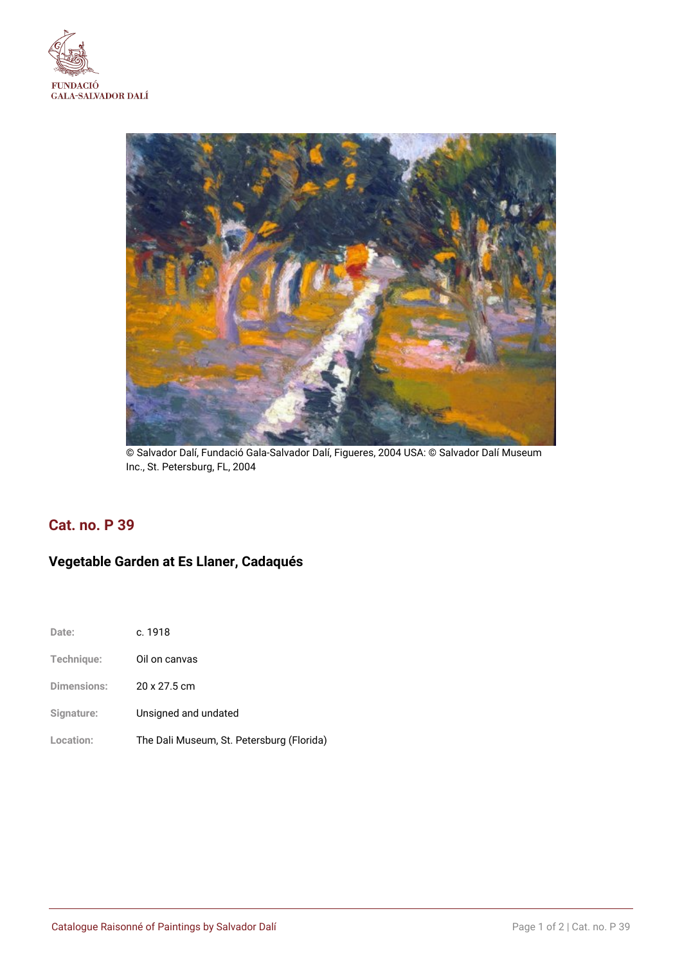



© Salvador Dalí, Fundació Gala-Salvador Dalí, Figueres, 2004 USA: © Salvador Dalí Museum Inc., St. Petersburg, FL, 2004

# **Cat. no. P 39**

# **Vegetable Garden at Es Llaner, Cadaqués**

| Date:              | c. 1918                                   |
|--------------------|-------------------------------------------|
| Technique:         | Oil on canvas                             |
| <b>Dimensions:</b> | 20 x 27.5 cm                              |
| Signature:         | Unsigned and undated                      |
| Location:          | The Dali Museum, St. Petersburg (Florida) |